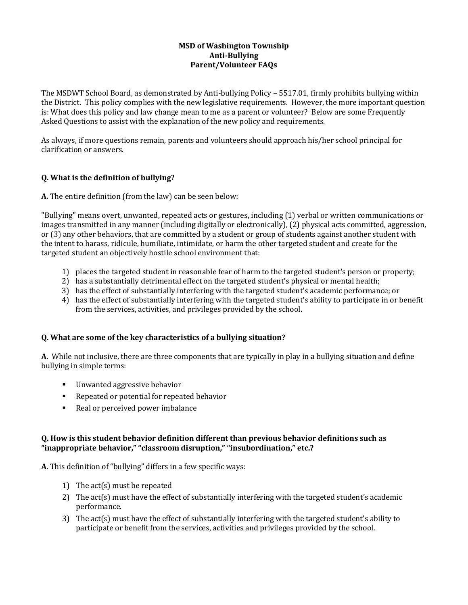## **MSD of Washington Township Anti-Bullying Parent/Volunteer FAQs**

The MSDWT School Board, as demonstrated by Anti-bullying Policy – 5517.01, firmly prohibits bullying within the District. This policy complies with the new legislative requirements. However, the more important question is: What does this policy and law change mean to me as a parent or volunteer? Below are some Frequently Asked Questions to assist with the explanation of the new policy and requirements.

As always, if more questions remain, parents and volunteers should approach his/her school principal for clarification or answers.

# **Q. What is the definition of bullying?**

**A.** The entire definition (from the law) can be seen below:

"Bullying" means overt, unwanted, repeated acts or gestures, including (1) verbal or written communications or images transmitted in any manner (including digitally or electronically), (2) physical acts committed, aggression, or (3) any other behaviors, that are committed by a student or group of students against another student with the intent to harass, ridicule, humiliate, intimidate, or harm the other targeted student and create for the targeted student an objectively hostile school environment that:

- 1) places the targeted student in reasonable fear of harm to the targeted student's person or property;
- 2) has a substantially detrimental effect on the targeted student's physical or mental health;
- 3) has the effect of substantially interfering with the targeted student's academic performance; or
- 4) has the effect of substantially interfering with the targeted student's ability to participate in or benefit from the services, activities, and privileges provided by the school.

#### **Q. What are some of the key characteristics of a bullying situation?**

**A.** While not inclusive, there are three components that are typically in play in a bullying situation and define bullying in simple terms:

- **Unwanted aggressive behavior**
- Repeated or potential for repeated behavior
- Real or perceived power imbalance

#### **Q. How is this student behavior definition different than previous behavior definitions such as "inappropriate behavior," "classroom disruption," "insubordination," etc.?**

**A.** This definition of "bullying" differs in a few specific ways:

- 1) The act(s) must be repeated
- 2) The act(s) must have the effect of substantially interfering with the targeted student's academic performance.
- 3) The act(s) must have the effect of substantially interfering with the targeted student's ability to participate or benefit from the services, activities and privileges provided by the school.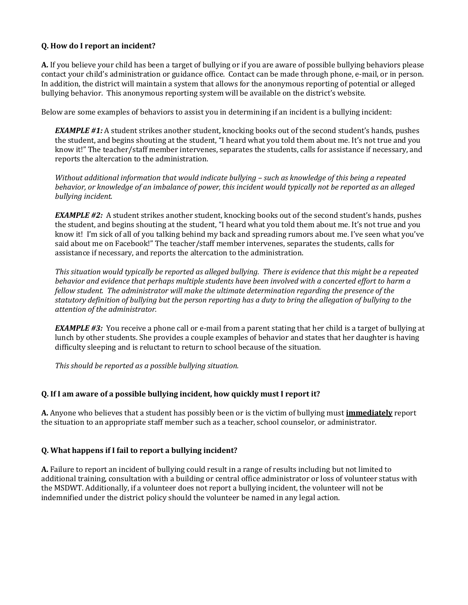## **Q. How do I report an incident?**

**A.** If you believe your child has been a target of bullying or if you are aware of possible bullying behaviors please contact your child's administration or guidance office. Contact can be made through phone, e-mail, or in person. In addition, the district will maintain a system that allows for the anonymous reporting of potential or alleged bullying behavior. This anonymous reporting system will be available on the district's website.

Below are some examples of behaviors to assist you in determining if an incident is a bullying incident:

*EXAMPLE #1:* A student strikes another student, knocking books out of the second student's hands, pushes the student, and begins shouting at the student, "I heard what you told them about me. It's not true and you know it!" The teacher/staff member intervenes, separates the students, calls for assistance if necessary, and reports the altercation to the administration.

*Without additional information that would indicate bullving – such as knowledge of this being a repeated behavior, or knowledge of an imbalance of power, this incident would typically not be reported as an alleged bullying incident.* 

*EXAMPLE #2:* A student strikes another student, knocking books out of the second student's hands, pushes the student, and begins shouting at the student, "I heard what you told them about me. It's not true and you know it! I'm sick of all of you talking behind my back and spreading rumors about me. I've seen what you've said about me on Facebook!" The teacher/staff member intervenes, separates the students, calls for assistance if necessary, and reports the altercation to the administration.

*This situation would typically be reported as alleged bullying. There is evidence that this might be a repeated behavior and evidence that perhaps multiple students have been involved with a concerted effort to harm a fellow student. The administrator will make the ultimate determination regarding the presence of the statutory definition of bullying but the person reporting has a duty to bring the allegation of bullying to the attention of the administrator.* 

*EXAMPLE #3:* You receive a phone call or e-mail from a parent stating that her child is a target of bullying at lunch by other students. She provides a couple examples of behavior and states that her daughter is having difficulty sleeping and is reluctant to return to school because of the situation.

*This should be reported as a possible bullying situation.* 

#### **Q. If I am aware of a possible bullying incident, how quickly must I report it?**

**A.** Anyone who believes that a student has possibly been or is the victim of bullying must **immediately** report the situation to an appropriate staff member such as a teacher, school counselor, or administrator.

#### **Q. What happens if I fail to report a bullying incident?**

**A.** Failure to report an incident of bullying could result in a range of results including but not limited to additional training, consultation with a building or central office administrator or loss of volunteer status with the MSDWT. Additionally, if a volunteer does not report a bullying incident, the volunteer will not be indemnified under the district policy should the volunteer be named in any legal action.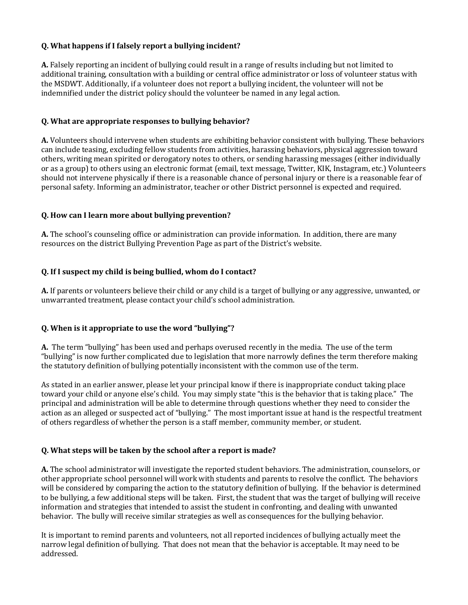# **Q. What happens if I falsely report a bullying incident?**

**A.** Falsely reporting an incident of bullying could result in a range of results including but not limited to additional training, consultation with a building or central office administrator or loss of volunteer status with the MSDWT. Additionally, if a volunteer does not report a bullying incident, the volunteer will not be indemnified under the district policy should the volunteer be named in any legal action.

#### **Q. What are appropriate responses to bullying behavior?**

**A.** Volunteers should intervene when students are exhibiting behavior consistent with bullying. These behaviors can include teasing, excluding fellow students from activities, harassing behaviors, physical aggression toward others, writing mean spirited or derogatory notes to others, or sending harassing messages (either individually or as a group) to others using an electronic format (email, text message, Twitter, KIK, Instagram, etc.) Volunteers should not intervene physically if there is a reasonable chance of personal injury or there is a reasonable fear of personal safety. Informing an administrator, teacher or other District personnel is expected and required.

## **Q. How can I learn more about bullying prevention?**

**A.** The school's counseling office or administration can provide information. In addition, there are many resources on the district Bullying Prevention Page as part of the District's website.

## **Q. If I suspect my child is being bullied, whom do I contact?**

**A.** If parents or volunteers believe their child or any child is a target of bullying or any aggressive, unwanted, or unwarranted treatment, please contact your child's school administration.

#### **Q. When is it appropriate to use the word "bullying"?**

**A.** The term "bullying" has been used and perhaps overused recently in the media. The use of the term "bullying" is now further complicated due to legislation that more narrowly defines the term therefore making the statutory definition of bullying potentially inconsistent with the common use of the term.

As stated in an earlier answer, please let your principal know if there is inappropriate conduct taking place toward your child or anyone else's child. You may simply state "this is the behavior that is taking place." The principal and administration will be able to determine through questions whether they need to consider the action as an alleged or suspected act of "bullying." The most important issue at hand is the respectful treatment of others regardless of whether the person is a staff member, community member, or student.

#### **Q. What steps will be taken by the school after a report is made?**

**A.** The school administrator will investigate the reported student behaviors. The administration, counselors, or other appropriate school personnel will work with students and parents to resolve the conflict. The behaviors will be considered by comparing the action to the statutory definition of bullying. If the behavior is determined to be bullying, a few additional steps will be taken. First, the student that was the target of bullying will receive information and strategies that intended to assist the student in confronting, and dealing with unwanted behavior. The bully will receive similar strategies as well as consequences for the bullying behavior.

It is important to remind parents and volunteers, not all reported incidences of bullying actually meet the narrow legal definition of bullying. That does not mean that the behavior is acceptable. It may need to be addressed.